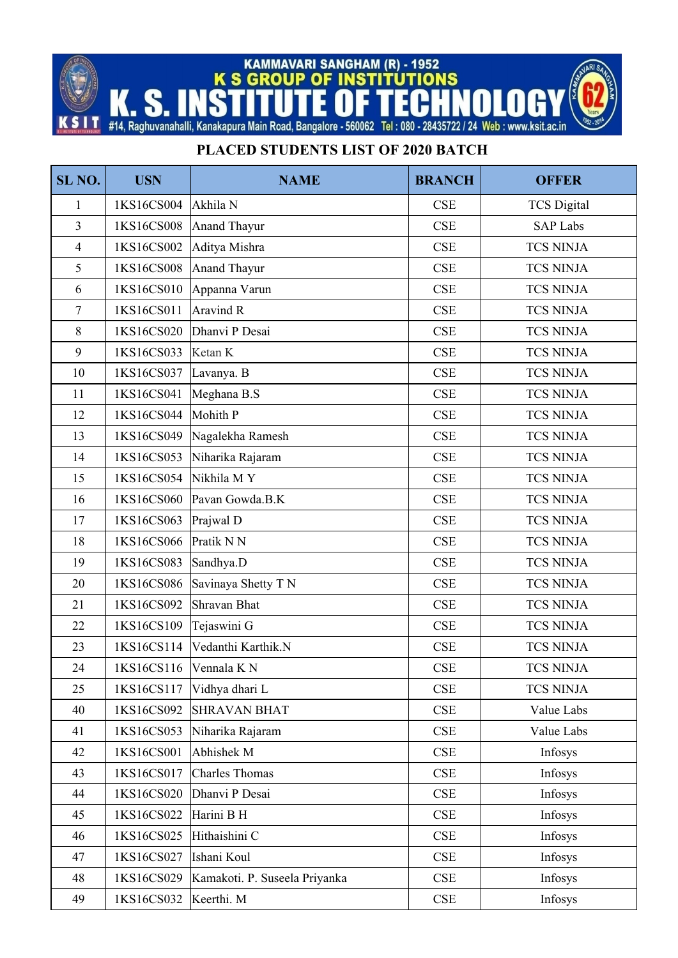KAMMAVARI SANGHAM (R) - 1952<br>K S GROUP OF INSTITUTIONS F

K

Ш Т S

S

## #14, Raghuvanahalli, Kanakapura Main Road, Bangalore - 560062 Tel: 080 - 28435722 / 24 Web: www.ksit.ac.in

## **PLACED STUDENTS LIST OF 2020 BATCH**

| SL <sub>NO.</sub> | <b>USN</b>            | <b>NAME</b>                   | <b>BRANCH</b> | <b>OFFER</b>       |
|-------------------|-----------------------|-------------------------------|---------------|--------------------|
| 1                 | 1KS16CS004            | Akhila N                      | <b>CSE</b>    | <b>TCS Digital</b> |
| $\overline{3}$    | 1KS16CS008            | <b>Anand Thayur</b>           | CSE           | <b>SAP Labs</b>    |
| $\overline{4}$    | 1KS16CS002            | Aditya Mishra                 | <b>CSE</b>    | <b>TCS NINJA</b>   |
| 5                 | 1KS16CS008            | <b>Anand Thayur</b>           | CSE           | <b>TCS NINJA</b>   |
| 6                 | 1KS16CS010            | Appanna Varun                 | CSE           | <b>TCS NINJA</b>   |
| $\overline{7}$    | 1KS16CS011            | <b>Aravind R</b>              | CSE           | <b>TCS NINJA</b>   |
| $8\,$             | 1KS16CS020            | Dhanvi P Desai                | CSE           | <b>TCS NINJA</b>   |
| 9                 | 1KS16CS033            | Ketan K                       | CSE           | <b>TCS NINJA</b>   |
| 10                | 1KS16CS037            | Lavanya. B                    | CSE           | <b>TCS NINJA</b>   |
| 11                | 1KS16CS041            | Meghana B.S                   | CSE           | <b>TCS NINJA</b>   |
| 12                | 1KS16CS044            | Mohith P                      | CSE           | <b>TCS NINJA</b>   |
| 13                | 1KS16CS049            | Nagalekha Ramesh              | CSE           | <b>TCS NINJA</b>   |
| 14                | 1KS16CS053            | Niharika Rajaram              | CSE           | <b>TCS NINJA</b>   |
| 15                | 1KS16CS054            | Nikhila MY                    | CSE           | <b>TCS NINJA</b>   |
| 16                | 1KS16CS060            | Pavan Gowda.B.K               | <b>CSE</b>    | <b>TCS NINJA</b>   |
| 17                | 1KS16CS063            | Prajwal D                     | CSE           | <b>TCS NINJA</b>   |
| 18                | 1KS16CS066            | Pratik N N                    | CSE           | <b>TCS NINJA</b>   |
| 19                | 1KS16CS083            | Sandhya.D                     | CSE           | <b>TCS NINJA</b>   |
| 20                | 1KS16CS086            | Savinaya Shetty T N           | CSE           | <b>TCS NINJA</b>   |
| 21                | 1KS16CS092            | Shravan Bhat                  | CSE           | <b>TCS NINJA</b>   |
| 22                | 1KS16CS109            | Tejaswini G                   | CSE           | <b>TCS NINJA</b>   |
| 23                | 1KS16CS114            | Vedanthi Karthik.N            | CSE           | <b>TCS NINJA</b>   |
| 24                | 1KS16CS116 Vennala KN |                               | <b>CSE</b>    | <b>TCS NINJA</b>   |
| 25                | 1KS16CS117            | Vidhya dhari L                | <b>CSE</b>    | <b>TCS NINJA</b>   |
| 40                | 1KS16CS092            | <b>SHRAVAN BHAT</b>           | <b>CSE</b>    | Value Labs         |
| 41                | 1KS16CS053            | Niharika Rajaram              | CSE           | Value Labs         |
| 42                | 1KS16CS001            | Abhishek M                    | CSE           | Infosys            |
| 43                | 1KS16CS017            | Charles Thomas                | <b>CSE</b>    | Infosys            |
| 44                | 1KS16CS020            | Dhanvi P Desai                | CSE           | Infosys            |
| 45                | 1KS16CS022            | Harini B H                    | <b>CSE</b>    | Infosys            |
| 46                | 1KS16CS025            | Hithaishini C                 | CSE           | Infosys            |
| 47                | 1KS16CS027            | Ishani Koul                   | CSE           | Infosys            |
| 48                | 1KS16CS029            | Kamakoti. P. Suseela Priyanka | <b>CSE</b>    | Infosys            |
| 49                | 1KS16CS032            | Keerthi. M                    | <b>CSE</b>    | Infosys            |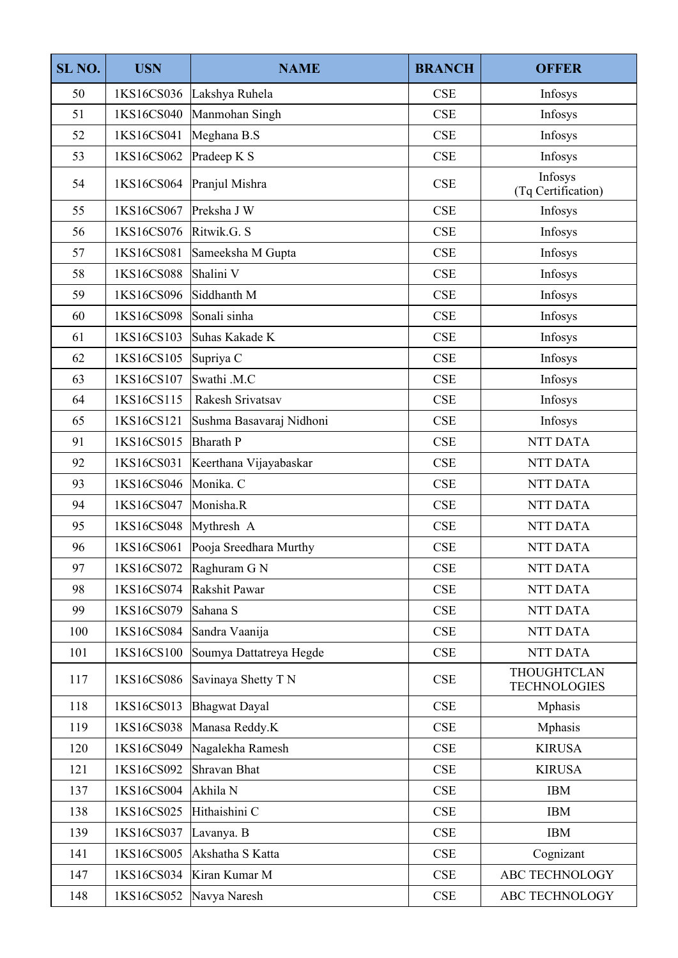| SL <sub>NO.</sub> | <b>USN</b> | <b>NAME</b>              | <b>BRANCH</b> | <b>OFFER</b>                              |
|-------------------|------------|--------------------------|---------------|-------------------------------------------|
| 50                | 1KS16CS036 | Lakshya Ruhela           | CSE           | Infosys                                   |
| 51                | 1KS16CS040 | Manmohan Singh           | CSE           | Infosys                                   |
| 52                | 1KS16CS041 | Meghana B.S              | CSE           | Infosys                                   |
| 53                | 1KS16CS062 | Pradeep K S              | CSE           | Infosys                                   |
| 54                | 1KS16CS064 | Pranjul Mishra           | CSE           | Infosys<br>(Tq Certification)             |
| 55                | 1KS16CS067 | Preksha J W              | CSE           | Infosys                                   |
| 56                | 1KS16CS076 | Ritwik.G. S              | <b>CSE</b>    | Infosys                                   |
| 57                | 1KS16CS081 | Sameeksha M Gupta        | CSE           | Infosys                                   |
| 58                | 1KS16CS088 | Shalini V                | CSE           | Infosys                                   |
| 59                | 1KS16CS096 | Siddhanth M              | <b>CSE</b>    | Infosys                                   |
| 60                | 1KS16CS098 | Sonali sinha             | CSE           | Infosys                                   |
| 61                | 1KS16CS103 | Suhas Kakade K           | CSE           | Infosys                                   |
| 62                | 1KS16CS105 | Supriya C                | <b>CSE</b>    | Infosys                                   |
| 63                | 1KS16CS107 | Swathi .M.C              | <b>CSE</b>    | Infosys                                   |
| 64                | 1KS16CS115 | Rakesh Srivatsav         | <b>CSE</b>    | Infosys                                   |
| 65                | 1KS16CS121 | Sushma Basavaraj Nidhoni | CSE           | Infosys                                   |
| 91                | 1KS16CS015 | <b>Bharath P</b>         | CSE           | <b>NTT DATA</b>                           |
| 92                | 1KS16CS031 | Keerthana Vijayabaskar   | CSE           | <b>NTT DATA</b>                           |
| 93                | 1KS16CS046 | Monika. C                | <b>CSE</b>    | <b>NTT DATA</b>                           |
| 94                | 1KS16CS047 | Monisha.R                | <b>CSE</b>    | <b>NTT DATA</b>                           |
| 95                | 1KS16CS048 | Mythresh A               | CSE           | <b>NTT DATA</b>                           |
| 96                | 1KS16CS061 | Pooja Sreedhara Murthy   | <b>CSE</b>    | <b>NTT DATA</b>                           |
| 97                | 1KS16CS072 | Raghuram G N             | <b>CSE</b>    | NTT DATA                                  |
| 98                | 1KS16CS074 | Rakshit Pawar            | <b>CSE</b>    | NTT DATA                                  |
| 99                | 1KS16CS079 | Sahana S                 | <b>CSE</b>    | NTT DATA                                  |
| 100               | 1KS16CS084 | Sandra Vaanija           | CSE           | NTT DATA                                  |
| 101               | 1KS16CS100 | Soumya Dattatreya Hegde  | <b>CSE</b>    | <b>NTT DATA</b>                           |
| 117               | 1KS16CS086 | Savinaya Shetty T N      | CSE           | <b>THOUGHTCLAN</b><br><b>TECHNOLOGIES</b> |
| 118               | 1KS16CS013 | Bhagwat Dayal            | CSE           | Mphasis                                   |
| 119               | 1KS16CS038 | Manasa Reddy.K           | <b>CSE</b>    | Mphasis                                   |
| 120               | 1KS16CS049 | Nagalekha Ramesh         | CSE           | <b>KIRUSA</b>                             |
| 121               | 1KS16CS092 | Shravan Bhat             | CSE           | <b>KIRUSA</b>                             |
| 137               | 1KS16CS004 | Akhila N                 | <b>CSE</b>    | <b>IBM</b>                                |
| 138               | 1KS16CS025 | Hithaishini C            | CSE           | <b>IBM</b>                                |
| 139               | 1KS16CS037 | Lavanya. B               | <b>CSE</b>    | <b>IBM</b>                                |
| 141               | 1KS16CS005 | Akshatha S Katta         | <b>CSE</b>    | Cognizant                                 |
| 147               | 1KS16CS034 | Kiran Kumar M            | CSE           | ABC TECHNOLOGY                            |
| 148               | 1KS16CS052 | Navya Naresh             | CSE           | ABC TECHNOLOGY                            |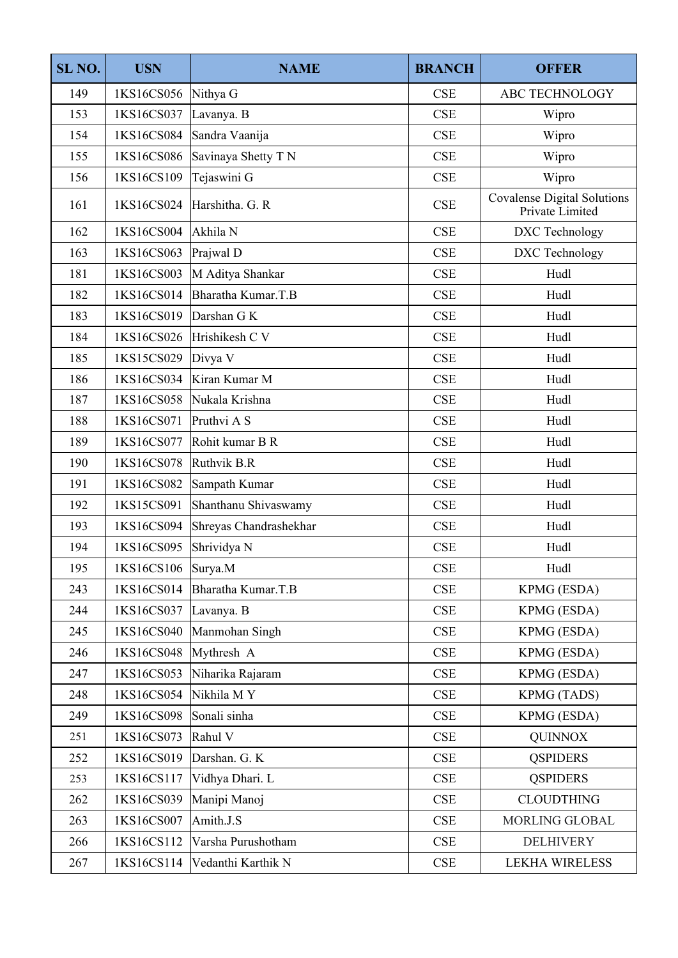| SL <sub>NO</sub> . | <b>USN</b>           | <b>NAME</b>               | <b>BRANCH</b> | <b>OFFER</b>                                          |  |
|--------------------|----------------------|---------------------------|---------------|-------------------------------------------------------|--|
| 149                | 1KS16CS056           | Nithya G                  | CSE           | <b>ABC TECHNOLOGY</b>                                 |  |
| 153                | 1KS16CS037           | Lavanya. B                | CSE           | Wipro                                                 |  |
| 154                | 1KS16CS084           | Sandra Vaanija            | <b>CSE</b>    | Wipro                                                 |  |
| 155                | 1KS16CS086           | Savinaya Shetty T N       | CSE           | Wipro                                                 |  |
| 156                | 1KS16CS109           | Tejaswini G               | <b>CSE</b>    | Wipro                                                 |  |
| 161                | 1KS16CS024           | Harshitha. G. R           | CSE           | <b>Covalense Digital Solutions</b><br>Private Limited |  |
| 162                | 1KS16CS004           | Akhila N                  | <b>CSE</b>    | DXC Technology                                        |  |
| 163                | 1KS16CS063           | Prajwal D                 | <b>CSE</b>    | DXC Technology                                        |  |
| 181                | 1KS16CS003           | M Aditya Shankar          | <b>CSE</b>    | Hudl                                                  |  |
| 182                | 1KS16CS014           | Bharatha Kumar.T.B        | <b>CSE</b>    | Hudl                                                  |  |
| 183                | 1KS16CS019           | Darshan G K               | <b>CSE</b>    | Hudl                                                  |  |
| 184                | 1KS16CS026           | Hrishikesh C V            | <b>CSE</b>    | Hudl                                                  |  |
| 185                | 1KS15CS029           | Divya V                   | <b>CSE</b>    | Hudl                                                  |  |
| 186                | 1KS16CS034           | Kiran Kumar M             | CSE           | Hudl                                                  |  |
| 187                | 1KS16CS058           | Nukala Krishna            | <b>CSE</b>    | Hudl                                                  |  |
| 188                | 1KS16CS071           | Pruthvi A S               | CSE           | Hudl                                                  |  |
| 189                | 1KS16CS077           | Rohit kumar B R           | CSE           | Hudl                                                  |  |
| 190                | 1KS16CS078           | Ruthvik B.R               | <b>CSE</b>    | Hudl                                                  |  |
| 191                | 1KS16CS082           | Sampath Kumar             | CSE           | Hudl                                                  |  |
| 192                | 1KS15CS091           | Shanthanu Shivaswamy      | <b>CSE</b>    | Hudl                                                  |  |
| 193                | 1KS16CS094           | Shreyas Chandrashekhar    | <b>CSE</b>    | Hudl                                                  |  |
| 194                | 1KS16CS095           | Shrividya N               | CSE           | Hudl                                                  |  |
| 195                | $1KS16CS106$ Surya.M |                           | CSE           | Hudl                                                  |  |
| 243                | 1KS16CS014           | Bharatha Kumar.T.B        | <b>CSE</b>    | KPMG (ESDA)                                           |  |
| 244                | 1KS16CS037           | Lavanya. B                | CSE           | KPMG (ESDA)                                           |  |
| 245                | 1KS16CS040           | Manmohan Singh            | CSE           | KPMG (ESDA)                                           |  |
| 246                | 1KS16CS048           | Mythresh A                | CSE           | KPMG (ESDA)                                           |  |
| 247                | 1KS16CS053           | Niharika Rajaram          | CSE           | KPMG (ESDA)                                           |  |
| 248                | 1KS16CS054           | Nikhila MY                | <b>CSE</b>    | KPMG (TADS)                                           |  |
| 249                | 1KS16CS098           | Sonali sinha              | CSE           | KPMG (ESDA)                                           |  |
| 251                | 1KS16CS073           | Rahul V                   | CSE           | <b>QUINNOX</b>                                        |  |
| 252                | 1KS16CS019           | Darshan. G. K             | CSE           | <b>QSPIDERS</b>                                       |  |
| 253                | 1KS16CS117           | Vidhya Dhari. L           | CSE           | <b>QSPIDERS</b>                                       |  |
| 262                | 1KS16CS039           | Manipi Manoj              | <b>CSE</b>    | <b>CLOUDTHING</b>                                     |  |
| 263                | 1KS16CS007           | Amith.J.S                 | <b>CSE</b>    | MORLING GLOBAL                                        |  |
| 266                | 1KS16CS112           | Varsha Purushotham        | <b>CSE</b>    | <b>DELHIVERY</b>                                      |  |
| 267                | 1KS16CS114           | CSE<br>Vedanthi Karthik N |               | <b>LEKHA WIRELESS</b>                                 |  |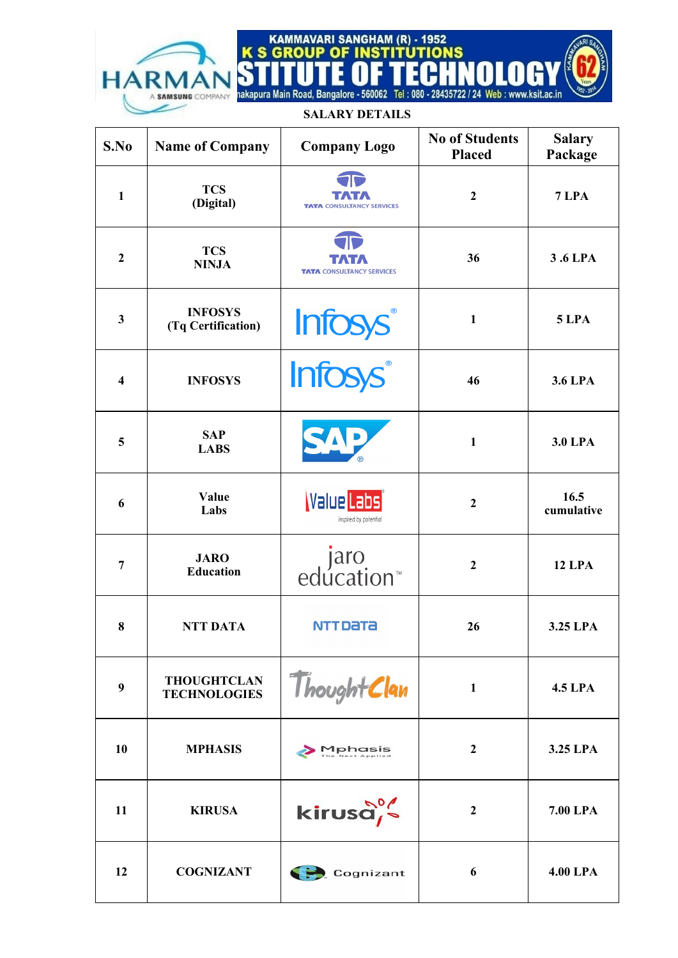EG F E Ш Ш nakapura Main Road, Bangalore - 560062 Tel: 080 - 28435722 / 24 Web: www.ksit.ac.in

N

KAMMAVARI SANGHAM (R) - 1952<br>K S GROUP OF INSTITUTIONS

S

A SAMSUNG COMPANY

**HARI** 

## **SALARY DETAILS**

| S.No           | <b>Name of Company</b>                    | <b>Company Logo</b>                        | <b>No of Students</b><br><b>Placed</b> | <b>Salary</b><br>Package |
|----------------|-------------------------------------------|--------------------------------------------|----------------------------------------|--------------------------|
| $\mathbf{1}$   | <b>TCS</b><br>(Digital)                   | <b>TATA CONSULTANCY SERVICES</b>           | $\mathbf{2}$                           | 7 LPA                    |
| $\overline{2}$ | <b>TCS</b><br><b>NINJA</b>                | <b>TATA CONSULTANCY SERVICES</b>           | 36                                     | 3.6 LPA                  |
| $\mathbf{3}$   | <b>INFOSYS</b><br>(Tq Certification)      | Infosys®                                   | 1                                      | 5 LPA                    |
| 4              | <b>INFOSYS</b>                            | <b>Infosys®</b>                            | 46                                     | 3.6 LPA                  |
| 5              | <b>SAP</b><br><b>LABS</b>                 |                                            | 1                                      | <b>3.0 LPA</b>           |
| 6              | Value<br>Labs                             | <b>Value Labs</b><br>inspired by potential | $\boldsymbol{2}$                       | 16.5<br>cumulative       |
| 7              | <b>JARO</b><br><b>Education</b>           | jaro<br>™education                         | $\boldsymbol{2}$                       | <b>12 LPA</b>            |
| 8              | <b>NTT DATA</b>                           | <b>NTTDaTa</b>                             | 26                                     | 3.25 LPA                 |
| 9              | <b>THOUGHTCLAN</b><br><b>TECHNOLOGIES</b> | ThoughtClan                                | $\mathbf{1}$                           | <b>4.5 LPA</b>           |
| 10             | <b>MPHASIS</b>                            | <b>Mphasis</b>                             | $\mathbf{2}$                           | 3.25 LPA                 |
| 11             | <b>KIRUSA</b>                             | kirusa,                                    | $\boldsymbol{2}$                       | 7.00 LPA                 |
| 12             | <b>COGNIZANT</b>                          | Cognizant                                  | 6                                      | <b>4.00 LPA</b>          |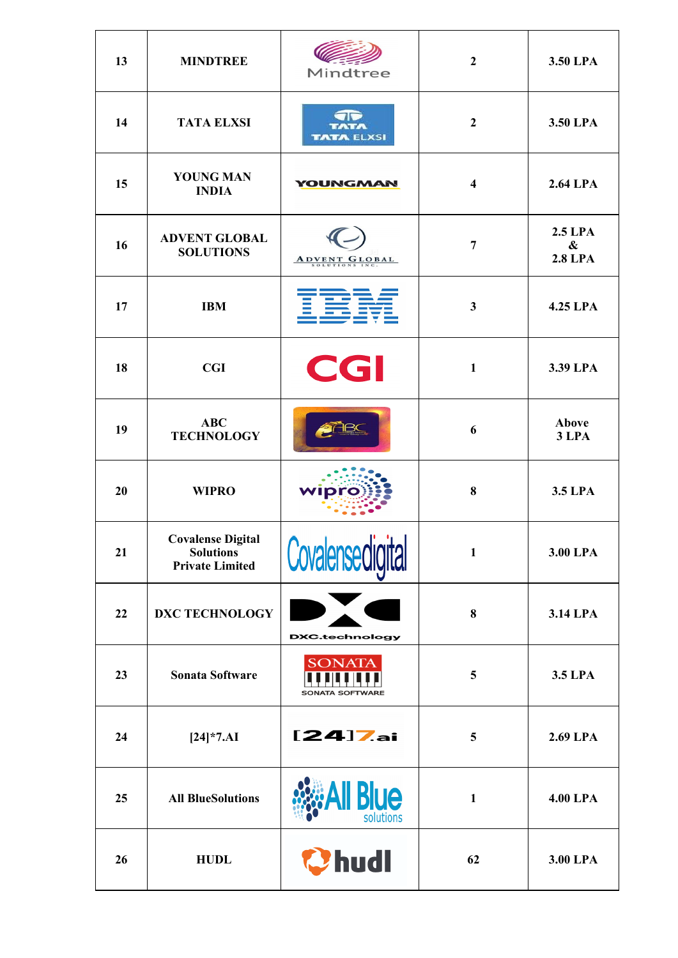| 13 | <b>MINDTREE</b>                                                        | Mindtree                                | $\mathbf{2}$            | 3.50 LPA                                              |
|----|------------------------------------------------------------------------|-----------------------------------------|-------------------------|-------------------------------------------------------|
| 14 | <b>TATA ELXSI</b>                                                      | TATA<br><b>TATA ELXSI</b>               | $\boldsymbol{2}$        | 3.50 LPA                                              |
| 15 | <b>YOUNG MAN</b><br><b>INDIA</b>                                       | <b>YOUNGMAN</b>                         | $\overline{\mathbf{4}}$ | 2.64 LPA                                              |
| 16 | <b>ADVENT GLOBAL</b><br><b>SOLUTIONS</b>                               | ADVENT GLOBAL                           | 7                       | <b>2.5 LPA</b><br>$\boldsymbol{\&}$<br><b>2.8 LPA</b> |
| 17 | <b>IBM</b>                                                             |                                         | 3                       | 4.25 LPA                                              |
| 18 | CGI                                                                    | CGI                                     | $\mathbf{1}$            | 3.39 LPA                                              |
| 19 | <b>ABC</b><br><b>TECHNOLOGY</b>                                        |                                         | 6                       | <b>Above</b><br>3 LPA                                 |
| 20 | <b>WIPRO</b>                                                           | wipr                                    | 8                       | 3.5 LPA                                               |
| 21 | <b>Covalense Digital</b><br><b>Solutions</b><br><b>Private Limited</b> | Covalensedigital                        | $\mathbf{1}$            | 3.00 LPA                                              |
| 22 | <b>DXC TECHNOLOGY</b>                                                  | <b>DXC.technology</b>                   | 8                       | 3.14 LPA                                              |
| 23 | <b>Sonata Software</b>                                                 | <b>SONATA</b><br><b>SONATA SOFTWARE</b> | 5                       | 3.5 LPA                                               |
| 24 | $[24]*7. A I$                                                          | $[24]$ Zai                              | 5                       | 2.69 LPA                                              |
| 25 | <b>All BlueSolutions</b>                                               | ue<br>solutions                         | $\mathbf{1}$            | <b>4.00 LPA</b>                                       |
| 26 | <b>HUDL</b>                                                            | Chudl                                   | 62                      | 3.00 LPA                                              |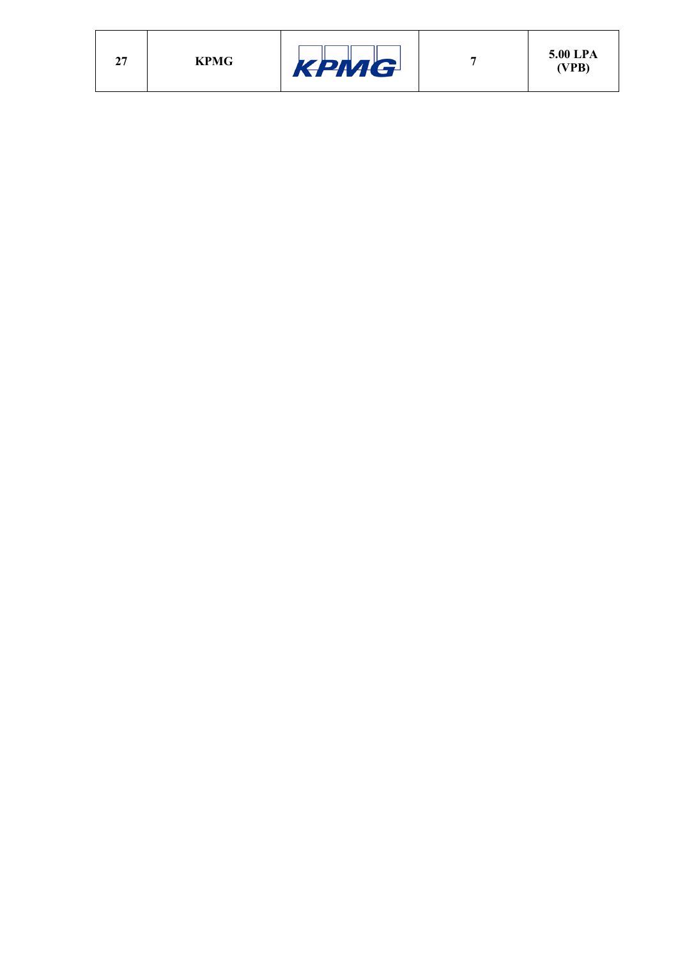